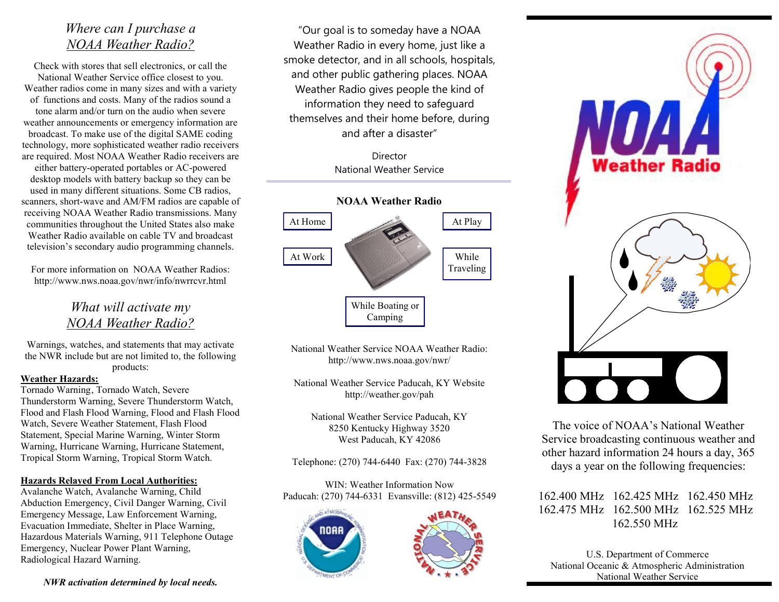# *Where can I purchase a NOAA Weather Radio?*

Check with stores that sell electronics, or call the National Weather Service office closest to you. Weather radios come in many sizes and with a variety of functions and costs. Many of the radios sound a tone alarm and/or turn on the audio when severe weather announcements or emergency information are broadcast. To make use of the digital SAME coding technology, more sophisticated weather radio receivers are required. Most NOAA Weather Radio receivers are either battery-operated portables or AC-powered desktop models with battery backup so they can be used in many different situations. Some CB radios, scanners, short-wave and AM/FM radios are capable of receiving NOAA Weather Radio transmissions. Many communities throughout the United States also make Weather Radio available on cable TV and broadcast television's secondary audio programming channels.

For more information on NOAA Weather Radios: http://www.nws.noaa.gov/nwr/info/nwrrcvr.html

# *What will activate my NOAA Weather Radio?*

Warnings, watches, and statements that may activate the NWR include but are not limited to, the following products:

### **Weather Hazards:**

Tornado Warning, Tornado Watch, Severe Thunderstorm Warning, Severe Thunderstorm Watch, Flood and Flash Flood Warning, Flood and Flash Flood Watch, Severe Weather Statement, Flash Flood Statement, Special Marine Warning, Winter Storm Warning, Hurricane Warning, Hurricane Statement, Tropical Storm Warning, Tropical Storm Watch.

### **Hazards Relayed From Local Authorities:**

Avalanche Watch, Avalanche Warning, Child Abduction Emergency, Civil Danger Warning, Civil Emergency Message, Law Enforcement Warning, Evacuation Immediate, Shelter in Place Warning, Hazardous Materials Warning, 911 Telephone Outage Emergency, Nuclear Power Plant Warning, Radiological Hazard Warning.

"Our goal is to someday have a NOAA Weather Radio in every home, just like a smoke detector, and in all schools, hospitals, and other public gathering places. NOAA Weather Radio gives people the kind of information they need to safeguard themselves and their home before, during and after a disaster"

> Director National Weather Service



National Weather Service NOAA Weather Radio: http://www.nws.noaa.gov/nwr/

National Weather Service Paducah, KY Website http://weather.gov/pah

National Weather Service Paducah, KY 8250 Kentucky Highway 3520 West Paducah, KY 42086

Telephone: (270) 744-6440 Fax: (270) 744-3828

WIN: Weather Information Now Paducah: (270) 744-6331 Evansville: (812) 425-5549







The voice of NOAA's National Weather Service broadcasting continuous weather and other hazard information 24 hours a day, 365 days a year on the following frequencies:

162.400 MHz 162.425 MHz 162.450 MHz 162.475 MHz 162.500 MHz 162.525 MHz 162.550 MHz

U.S. Department of Commerce National Oceanic & Atmospheric Administration National Weather Service

*NWR activation determined by local needs.*